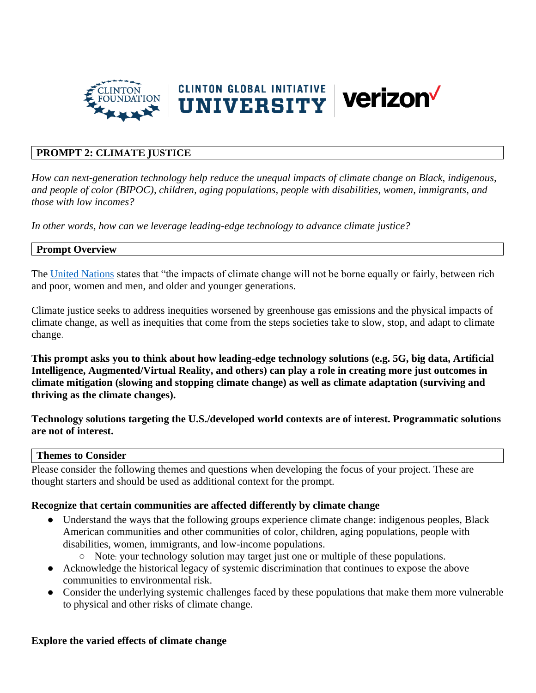

## **PROMPT 2: CLIMATE JUSTICE**

*How can next-generation technology help reduce the unequal impacts of climate change on Black, indigenous, and people of color (BIPOC), children, aging populations, people with disabilities, women, immigrants, and those with low incomes?* 

*In other words, how can we leverage leading-edge technology to advance climate justice?*

### **Prompt Overview**

The [United Nations](https://www.un.org/sustainabledevelopment/blog/2019/05/climate-justice/) states that "the impacts of climate change will not be borne equally or fairly, between rich and poor, women and men, and older and younger generations.

Climate justice seeks to address inequities worsened by greenhouse gas emissions and the physical impacts of climate change, as well as inequities that come from the steps societies take to slow, stop, and adapt to climate change.

**This prompt asks you to think about how leading-edge technology solutions (e.g. 5G, big data, Artificial Intelligence, Augmented/Virtual Reality, and others) can play a role in creating more just outcomes in climate mitigation (slowing and stopping climate change) as well as climate adaptation (surviving and thriving as the climate changes).** 

**Technology solutions targeting the U.S./developed world contexts are of interest. Programmatic solutions are not of interest.** 

#### **Themes to Consider**

Please consider the following themes and questions when developing the focus of your project. These are thought starters and should be used as additional context for the prompt.

#### **Recognize that certain communities are affected differently by climate change**

- Understand the ways that the following groups experience climate change: indigenous peoples, Black American communities and other communities of color, children, aging populations, people with disabilities, women, immigrants, and low-income populations.
	- Note: your technology solution may target just one or multiple of these populations.
- Acknowledge the historical legacy of systemic discrimination that continues to expose the above communities to environmental risk.
- Consider the underlying systemic challenges faced by these populations that make them more vulnerable to physical and other risks of climate change.

#### **Explore the varied effects of climate change**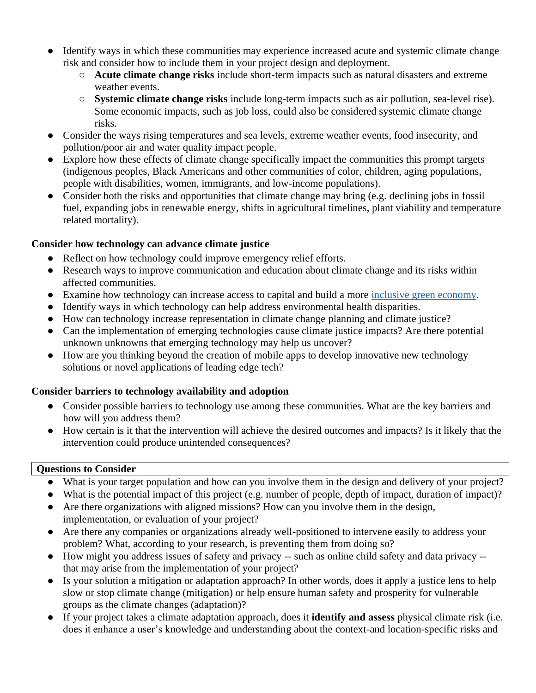- Identify ways in which these communities may experience increased acute and systemic climate change risk and consider how to include them in your project design and deployment.
	- **Acute climate change risks** include short-term impacts such as natural disasters and extreme weather events.
	- **Systemic climate change risks** include long-term impacts such as air pollution, sea-level rise). Some economic impacts, such as job loss, could also be considered systemic climate change risks.
- Consider the ways rising temperatures and sea levels, extreme weather events, food insecurity, and pollution/poor air and water quality impact people.
- Explore how these effects of climate change specifically impact the communities this prompt targets (indigenous peoples, Black Americans and other communities of color, children, aging populations, people with disabilities, women, immigrants, and low-income populations).
- Consider both the risks and opportunities that climate change may bring (e.g. declining jobs in fossil fuel, expanding jobs in renewable energy, shifts in agricultural timelines, plant viability and temperature related mortality).

# **Consider how technology can advance climate justice**

- Reflect on how technology could improve emergency relief efforts.
- Research ways to improve communication and education about climate change and its risks within affected communities.
- Examine how technology can increase access to capital and build a more [inclusive green economy.](https://www.unenvironment.org/explore-topics/green-economy/why-does-green-economy-matter/what-inclusive-green-economy)
- Identify ways in which technology can help address environmental health disparities.
- How can technology increase representation in climate change planning and climate justice?
- Can the implementation of emerging technologies cause climate justice impacts? Are there potential unknown unknowns that emerging technology may help us uncover?
- How are you thinking beyond the creation of mobile apps to develop innovative new technology solutions or novel applications of leading edge tech?

# **Consider barriers to technology availability and adoption**

- Consider possible barriers to technology use among these communities. What are the key barriers and how will you address them?
- How certain is it that the intervention will achieve the desired outcomes and impacts? Is it likely that the intervention could produce unintended consequences?

# **Questions to Consider**

- What is your target population and how can you involve them in the design and delivery of your project?
- What is the potential impact of this project (e.g. number of people, depth of impact, duration of impact)?
- Are there organizations with aligned missions? How can you involve them in the design, implementation, or evaluation of your project?
- Are there any companies or organizations already well-positioned to intervene easily to address your problem? What, according to your research, is preventing them from doing so?
- How might you address issues of safety and privacy -- such as online child safety and data privacy that may arise from the implementation of your project?
- Is your solution a mitigation or adaptation approach? In other words, does it apply a justice lens to help slow or stop climate change (mitigation) or help ensure human safety and prosperity for vulnerable groups as the climate changes (adaptation)?
- If your project takes a climate adaptation approach, does it **identify and assess** physical climate risk (i.e. does it enhance a user's knowledge and understanding about the context-and location-specific risks and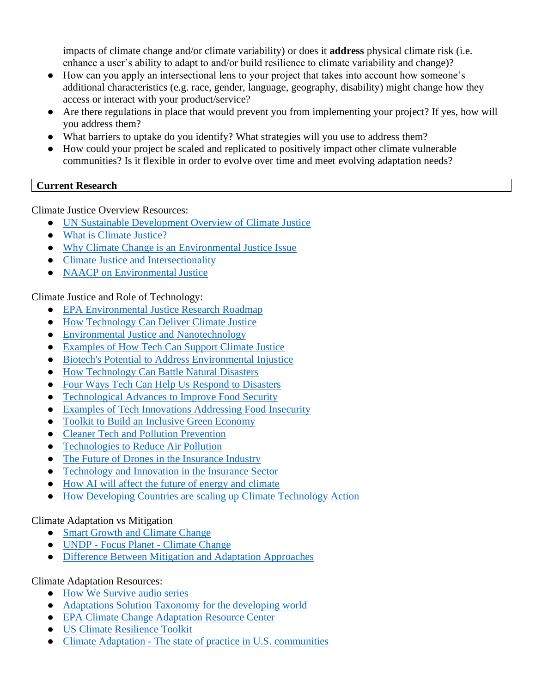impacts of climate change and/or climate variability) or does it **address** physical climate risk (i.e. enhance a user's ability to adapt to and/or build resilience to climate variability and change)?

- How can you apply an intersectional lens to your project that takes into account how someone's additional characteristics (e.g. race, gender, language, geography, disability) might change how they access or interact with your product/service?
- Are there regulations in place that would prevent you from implementing your project? If yes, how will you address them?
- What barriers to uptake do you identify? What strategies will you use to address them?
- How could your project be scaled and replicated to positively impact other climate vulnerable communities? Is it flexible in order to evolve over time and meet evolving adaptation needs?

## **Current Research**

Climate Justice Overview Resources:

- [UN Sustainable Development Overview of Climate Justice](https://www.un.org/sustainabledevelopment/blog/2019/05/climate-justice/)
- [What is Climate Justice?](https://yaleclimateconnections.org/2020/07/what-is-climate-justice/)
- [Why Climate Change is an Environmental Justice Issue](https://blogs.ei.columbia.edu/2020/09/22/climate-change-environmental-justice/)
- [Climate Justice and Intersectionality](https://350.org/facing-climate-change-through-justice-and-intersectionality/)
- [NAACP on Environmental Justice](https://naacp.org/issues/environmental-justice/)

Climate Justice and Role of Technology:

- [EPA Environmental Justice Research Roadmap](https://www.epa.gov/sites/production/files/2017-01/documents/researchroadmap_environmentaljustice_508_compliant.pdf)
- [How Technology Can Deliver Climate Justice](https://link.springer.com/chapter/10.1007/978-3-319-72026-5_22)
- [Environmental Justice and Nanotechnology](https://web.northeastern.edu/nejrc/wp-content/uploads/2017/02/nano_pen16_final.pdf)
- [Examples of How Tech Can Support Climate Justice](https://cligs.vt.edu/blog/technology---environmental-justice.html)
- [Biotech's Potential to Address Environmental Injustice](https://www.bio.org/blogs/biotechs-potential-help-solve-environmental-injustice)
- [How Technology Can Battle Natural Disasters](https://www.usnews.com/news/best-countries/slideshows/technology-can-save-the-world-from-natural-disasters)
- [Four Ways Tech Can Help Us Respond to Disasters](https://www.weforum.org/agenda/2018/01/4-ways-technology-can-play-a-critical-role-in-disaster-response/)
- [Technological Advances to Improve Food Security](https://www.rti.org/rti-press-publication/technology-food-security/fulltext.pdf)
- [Examples of Tech Innovations Addressing Food Insecurity](https://medium.com/@WFPUSA/7-tech-innovations-changing-the-global-hunger-conversation-720660b3c73c)
- [Toolkit to Build an Inclusive Green Economy](https://www.enterprise-development.org/wp-content/uploads/Toolkit_of_Policy_Options.pdf)
- [Cleaner Tech and Pollution Prevention](https://ir.lawnet.fordham.edu/cgi/viewcontent.cgi?article=1489&context=elr)
- [Technologies to Reduce Air Pollution](https://www.govtech.com/fs/New-Technologies-Make-Cities-Clean-Air-Efforts-More-Responsive.html)
- [The Future of Drones in the Insurance Industry](https://www.insurancejournal.com/news/national/2014/03/07/322658.htm)
- [Technology and Innovation in the Insurance Sector](https://www.oecd.org/pensions/Technology-and-innovation-in-the-insurance-sector.pdf)
- [How AI will affect the future of energy and climate](https://www.brookings.edu/research/how-artificial-intelligence-will-affect-the-future-of-energy-and-climate/)
- [How Developing Countries are scaling up Climate Technology Action](https://unfccc.int/news/how-developing-countries-are-scaling-up-climate-technology-action)

### Climate Adaptation vs Mitigation

- [Smart Growth and Climate Change](https://www.epa.gov/smartgrowth/smart-growth-and-climate-change)
- UNDP Focus Planet [Climate Change](https://www.undp.org/content/undp/en/home/2030-agenda-for-sustainable-development/planet/climate-change.html)
- [Difference Between Mitigation and Adaptation Approaches](https://climate.nasa.gov/solutions/adaptation-mitigation/)

Climate Adaptation Resources:

- [How We Survive](https://www.marketplace.org/collection/using-tech-to-adapt-to-climate-change/) audio series
- [Adaptations Solution Taxonomy](https://lightsmithgp.com/wp-content/uploads/2020/09/asap-adaptation-solutions-taxonomy_july-28-2020_final.pdf) for the developing world
- [EPA Climate Change Adaptation Resource Center](https://www.epa.gov/arc-x)
- [US Climate Resilience Toolkit](https://toolkit.climate.gov/)
- Climate Adaptation [The state of practice in U.S. communities](https://kresge.org/sites/default/files/library/climate-adaptation-the-state-of-practice-in-us-communities-full-report.pdf)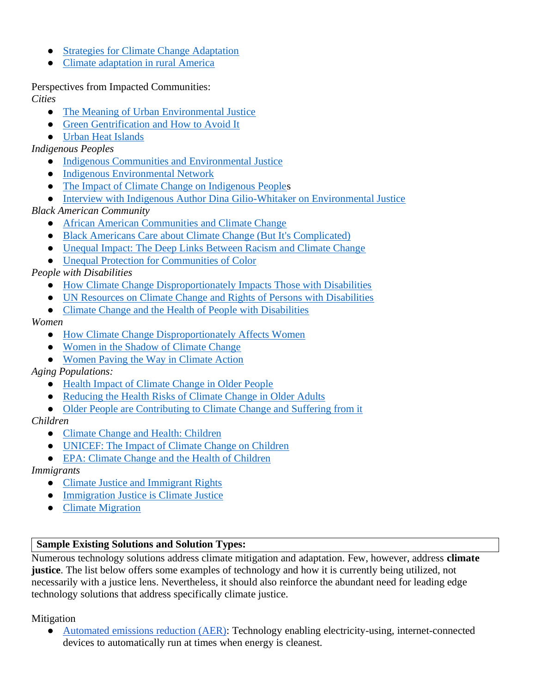- [Strategies for Climate Change Adaptation](https://www.epa.gov/arc-x/strategies-climate-change-adaptation)
- Climate [adaptation in rural America](https://www.resilience.org/stories/2020-12-11/climate-adaptation-in-rural-america/)

Perspectives from Impacted Communities: *Cities*

- [The Meaning of Urban Environmental Justice](https://ir.lawnet.fordham.edu/cgi/viewcontent.cgi?article=1412&context=ulj)
- [Green Gentrification and How to Avoid It](https://www.wri.org/blog/2019/12/how-prevent-city-climate-action-becoming-green-gentrification)
- [Urban Heat Islands](https://www.weact.org/2016/09/climate-action-beat-heat/)

*Indigenous Peoples*

- [Indigenous Communities and Environmental Justice](https://nonprofitquarterly.org/indigenous-communities-and-environmental-justice/)
- [Indigenous Environmental Network](https://www.ienearth.org/about/)
- [The Impact of Climate Change on Indigenous Peoples](https://www.nncap.arizona.edu/sites/default/files/pdf/Indigenous%20People%20and%20Environmental%20Justice%20-%20The%20Impact%20of%20Climate%20Change_0.pdf)
- [Interview with Indigenous Author Dina Gilio-Whitaker on Environmental Justice](https://earther.gizmodo.com/we-are-nations-what-environmental-justice-looks-like-f-1839028507)

*Black American Community*

- [African American Communities and Climate Change](https://www.edf.org/sites/default/files/documents/African%20American%20Communities%20and%20Climate%20Change.pdf)
- [Black Americans Care about Climate Change \(But It's Complicated\)](https://www.thirdway.org/memo/black-americans-care-about-climate-change-but-its-complicated)
- [Unequal Impact: The Deep Links Between Racism and Climate Change](https://e360.yale.edu/features/unequal-impact-the-deep-links-between-inequality-and-climate-change)
- [Unequal Protection for Communities of Color](https://www.greenamerica.org/climate-justice-all/people-color-are-front-lines-climate-crisis)

*People with Disabilities*

- [How Climate Change Disproportionately Impacts Those with Disabilities](https://www.unenvironment.org/news-and-stories/story/how-climate-change-disproportionately-impacts-those-disabilities)
- [UN Resources on Climate Change and Rights of Persons with Disabilities](https://www.ohchr.org/EN/Issues/HRAndClimateChange/Pages/PersonsWithDisabilities.aspx)
- [Climate Change and the Health of People with Disabilities](https://www.cmu.edu/steinbrenner/EPA%20Factsheets/disabilities-health-climate-change.pdf)

*Women*

- [How Climate Change Disproportionately Affects Women](https://www.globalcitizen.org/en/content/how-climate-change-affects-women/)
- [Women in the Shadow of Climate Change](https://www.un.org/en/chronicle/article/womenin-shadow-climate-change)
- [Women Paving the Way in Climate Action](https://www.iucn.org/resources/issues-briefs/gender-and-climate-change)

*Aging Populations:* 

- [Health Impact of Climate Change in Older People](https://sigmapubs.onlinelibrary.wiley.com/doi/pdfdirect/10.1111/jnu.12346)
- [Reducing the Health Risks of Climate Change in Older Adults](http://www.meteo.psu.edu/holocene/public_html/Mann/articles/articles/JGN19.pdf)
- [Older People are Contributing to Climate Change and Suffering from it](https://www.nytimes.com/2019/05/24/health/climate-change-elderly.html)

*Children*

- [Climate Change and Health: Children](https://www.climaterealityproject.org/blog/climate-change-and-health-children?_ga=2.1064500.46740430.1608667325-1072724468.1608667325)
- [UNICEF: The Impact of Climate Change on Children](https://www.unicef.org/publications/files/Unless_we_act_now_The_impact_of_climate_change_on_children.pdf)
- [EPA: Climate Change and the Health of Children](https://www.cmu.edu/steinbrenner/EPA%20Factsheets/children-health-climate-change.pdf)

*Immigrants*

- [Climate Justice and Immigrant Rights](http://www.nnirr.org/drupal/sites/default/files/climate_justice__migration_4.27.17.pdf)
- [Immigration Justice is Climate Justice](https://belonging.berkeley.edu/blog-immigration-justice-climate-justice)
- [Climate Migration](https://climaterealityproject.org/blog/climate-justice-101-climate-migration)

### **Sample Existing Solutions and Solution Types:**

Numerous technology solutions address climate mitigation and adaptation. Few, however, address **climate justice**. The list below offers some examples of technology and how it is currently being utilized, not necessarily with a justice lens. Nevertheless, it should also reinforce the abundant need for leading edge technology solutions that address specifically climate justice.

Mitigation

[Automated emissions reduction \(AER\):](https://www.watttime.org/aer/what-is-aer/) Technology enabling electricity-using, internet-connected devices to automatically run at times when energy is cleanest.